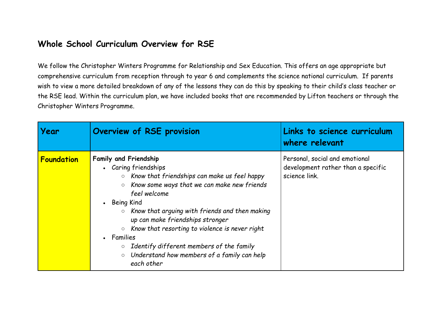## **Whole School Curriculum Overview for RSE**

We follow the Christopher Winters Programme for Relationship and Sex Education. This offers an age appropriate but comprehensive curriculum from reception through to year 6 and complements the science national curriculum. If parents wish to view a more detailed breakdown of any of the lessons they can do this by speaking to their child's class teacher or the RSE lead. Within the curriculum plan, we have included books that are recommended by Lifton teachers or through the Christopher Winters Programme.

| Year              | Overview of RSE provision                                                                                                                                                                                                                                                                                                                                                                                                                                                                                                     | Links to science curriculum<br>where relevant                                         |
|-------------------|-------------------------------------------------------------------------------------------------------------------------------------------------------------------------------------------------------------------------------------------------------------------------------------------------------------------------------------------------------------------------------------------------------------------------------------------------------------------------------------------------------------------------------|---------------------------------------------------------------------------------------|
| <b>Foundation</b> | <b>Family and Friendship</b><br>• Caring friendships<br>$\circ$ Know that friendships can make us feel happy<br>Know some ways that we can make new friends<br>$\circlearrowright$<br>feel welcome<br>• Being Kind<br>Know that arguing with friends and then making<br>$\circ$<br>up can make friendships stronger<br>Know that resorting to violence is never right<br>$\circ$<br>• Families<br>Identify different members of the family<br>$\circ$<br>Understand how members of a family can help<br>$\circ$<br>each other | Personal, social and emotional<br>development rather than a specific<br>science link. |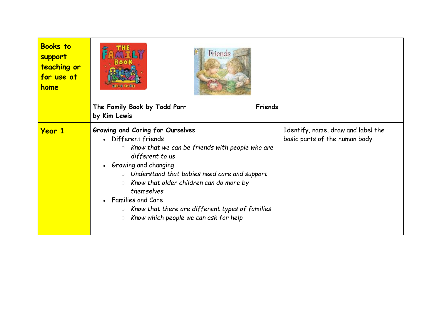| <b>Books to</b><br>support<br>teaching or<br>for use at<br>home | Friends<br>The Family Book by Todd Parr<br>Friends<br>by Kim Lewis                                                                                                                                                                                                                                                                                                                                                                                               |                                                                      |
|-----------------------------------------------------------------|------------------------------------------------------------------------------------------------------------------------------------------------------------------------------------------------------------------------------------------------------------------------------------------------------------------------------------------------------------------------------------------------------------------------------------------------------------------|----------------------------------------------------------------------|
|                                                                 |                                                                                                                                                                                                                                                                                                                                                                                                                                                                  |                                                                      |
| <b>Year 1</b>                                                   | Growing and Caring for Ourselves<br>• Different friends<br>$\circ$ Know that we can be friends with people who are<br>different to us<br>Growing and changing<br>$\bullet$<br>$\circ$ Understand that babies need care and support<br>Know that older children can do more by<br>$\circ$<br>themselves<br>Families and Care<br>$\bullet$<br>Know that there are different types of families<br>$\bigcirc$<br>Know which people we can ask for help<br>$\bigcirc$ | Identify, name, draw and label the<br>basic parts of the human body. |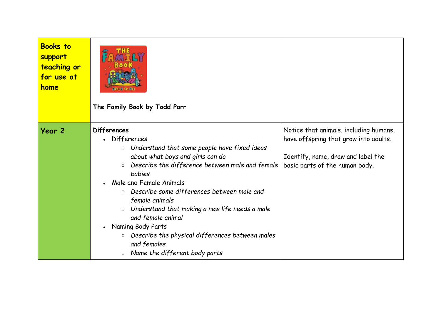| <b>Books to</b><br>support<br>teaching or<br>for use at<br>home | The Family Book by Todd Parr                                                                                                                                                                                                                                                                                                                                                                                                                                                                                                                 |                                                                                                                                                         |
|-----------------------------------------------------------------|----------------------------------------------------------------------------------------------------------------------------------------------------------------------------------------------------------------------------------------------------------------------------------------------------------------------------------------------------------------------------------------------------------------------------------------------------------------------------------------------------------------------------------------------|---------------------------------------------------------------------------------------------------------------------------------------------------------|
| Year 2                                                          | <b>Differences</b><br>• Differences<br>$\circ$ Understand that some people have fixed ideas<br>about what boys and girls can do<br>Describe the difference between male and female<br>$\circ$<br><b>babies</b><br>Male and Female Animals<br>Describe some differences between male and<br>$\circ$<br>female animals<br>o Understand that making a new life needs a male<br>and female animal<br>Naming Body Parts<br>$\bullet$<br>O Describe the physical differences between males<br>and females<br>$\circ$ Name the different body parts | Notice that animals, including humans,<br>have offspring that grow into adults.<br>Identify, name, draw and label the<br>basic parts of the human body. |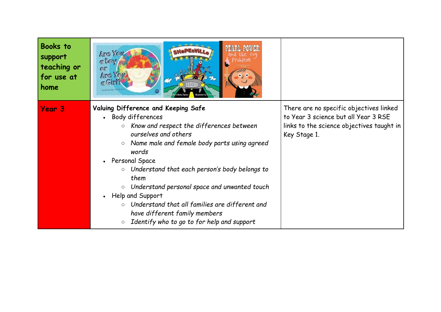| <b>Books</b> to<br>support<br>teaching or<br>for use at<br>home | Arc You<br>a Boy<br>or<br>Arc You<br>$a$ Girl?<br><b>Carole Savinger - Post Unit</b>                                                                                                                                                                                                                                                                  |                                                                                                                                              |
|-----------------------------------------------------------------|-------------------------------------------------------------------------------------------------------------------------------------------------------------------------------------------------------------------------------------------------------------------------------------------------------------------------------------------------------|----------------------------------------------------------------------------------------------------------------------------------------------|
| Year 3                                                          | Valuing Difference and Keeping Safe<br>Body differences<br>$\bullet$<br>Know and respect the differences between<br>$\bigcirc$<br>ourselves and others<br>Name male and female body parts using agreed<br>$\circ$<br>words                                                                                                                            | There are no specific objectives linked<br>to Year 3 science but all Year 3 RSE<br>links to the science objectives taught in<br>Key Stage 1. |
|                                                                 | Personal Space<br>$\bullet$<br>$\circ$ Understand that each person's body belongs to<br>them<br>Understand personal space and unwanted touch<br>$\bigcirc$<br>Help and Support<br>$\bullet$<br>Understand that all families are different and<br>$\circ$<br>have different family members<br>Identify who to go to for help and support<br>$\bigcirc$ |                                                                                                                                              |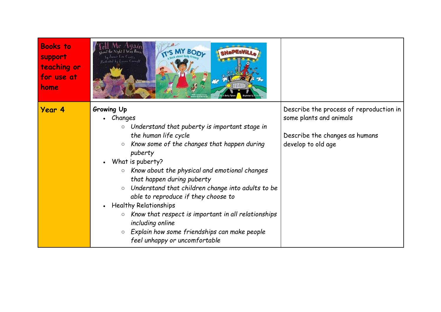| <b>Books to</b><br>support<br>teaching or<br>for use at<br>home | the Night I Way Born<br>amie Lee Curtis<br>Wedrated by Louis Cornell                                                                                                                                                                                                                                                                                                                                                                                                                                                                                                                                                                             |                                                                                                                            |
|-----------------------------------------------------------------|--------------------------------------------------------------------------------------------------------------------------------------------------------------------------------------------------------------------------------------------------------------------------------------------------------------------------------------------------------------------------------------------------------------------------------------------------------------------------------------------------------------------------------------------------------------------------------------------------------------------------------------------------|----------------------------------------------------------------------------------------------------------------------------|
| Year 4                                                          | Growing Up<br>• Changes<br>$\circ$ Understand that puberty is important stage in<br>the human life cycle<br>Know some of the changes that happen during<br>$\circ$<br>puberty<br>What is puberty?<br>Know about the physical and emotional changes<br>$\bigcirc$<br>that happen during puberty<br>$\circ$ Understand that children change into adults to be<br>able to reproduce if they choose to<br><b>Healthy Relationships</b><br>$\bullet$<br>Know that respect is important in all relationships<br>$\bigcirc$<br>including online<br>Explain how some friendships can make people<br>$\circlearrowright$<br>feel unhappy or uncomfortable | Describe the process of reproduction in<br>some plants and animals<br>Describe the changes as humans<br>develop to old age |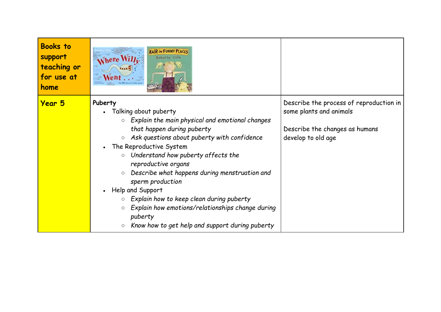| <b>Books to</b><br>support<br>teaching or<br>for use at<br>home | <b>HAIR IN FUNNY PLACES</b><br>$N$ here $WilL$<br><b>Babette Cole</b><br>$Went$                                                                                                                                                                                                                                                                                                                                                                                                                                                                                                                                    |                                                                                                                            |
|-----------------------------------------------------------------|--------------------------------------------------------------------------------------------------------------------------------------------------------------------------------------------------------------------------------------------------------------------------------------------------------------------------------------------------------------------------------------------------------------------------------------------------------------------------------------------------------------------------------------------------------------------------------------------------------------------|----------------------------------------------------------------------------------------------------------------------------|
| <b>Year 5</b>                                                   | Puberty<br>Talking about puberty<br>$\bullet$<br>$\circ$ Explain the main physical and emotional changes<br>that happen during puberty<br>Ask questions about puberty with confidence<br>$\circ$<br>The Reproductive System<br>$\bullet$<br>$\circ$ Understand how puberty affects the<br>reproductive organs<br>Describe what happens during menstruation and<br>$\circ$<br>sperm production<br>Help and Support<br>$\bullet$<br>Explain how to keep clean during puberty<br>$\circ$<br>Explain how emotions/relationships change during<br>$\circ$<br>puberty<br>Know how to get help and support during puberty | Describe the process of reproduction in<br>some plants and animals<br>Describe the changes as humans<br>develop to old age |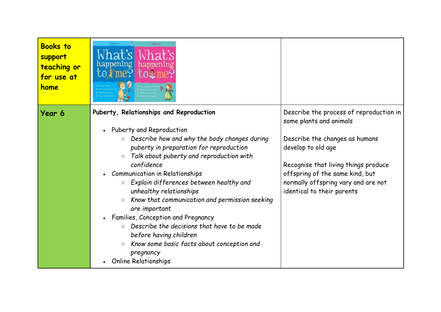| <b>Books to</b><br>support<br>teaching or<br>for use at<br>home | mez                                                                                                                                                                                                                                                                                                                                                                                                                                                                                                                                                                                                                                                                                                           |                                                                                                                                                                                                                                                                            |
|-----------------------------------------------------------------|---------------------------------------------------------------------------------------------------------------------------------------------------------------------------------------------------------------------------------------------------------------------------------------------------------------------------------------------------------------------------------------------------------------------------------------------------------------------------------------------------------------------------------------------------------------------------------------------------------------------------------------------------------------------------------------------------------------|----------------------------------------------------------------------------------------------------------------------------------------------------------------------------------------------------------------------------------------------------------------------------|
| Year 6                                                          | Puberty, Relationships and Reproduction<br>Puberty and Reproduction<br>$\bullet$<br>Describe how and why the body changes during<br>$\circ$<br>puberty in preparation for reproduction<br>Talk about puberty and reproduction with<br>$\circ$<br>confidence<br><b>Communication in Relationships</b><br>Explain differences between healthy and<br>$\bigcirc$<br>unhealthy relationships<br>Know that communication and permission seeking<br>$\bigcirc$<br>are important<br>Families, Conception and Pregnancy<br>$\bullet$<br>Describe the decisions that have to be made<br>before having children<br>Know some basic facts about conception and<br>$\bigcirc$<br>pregnancy<br><b>Online Relationships</b> | Describe the process of reproduction in<br>some plants and animals<br>Describe the changes as humans<br>develop to old age<br>Recognise that living things produce<br>offspring of the same kind, but<br>normally offspring vary and are not<br>identical to their parents |